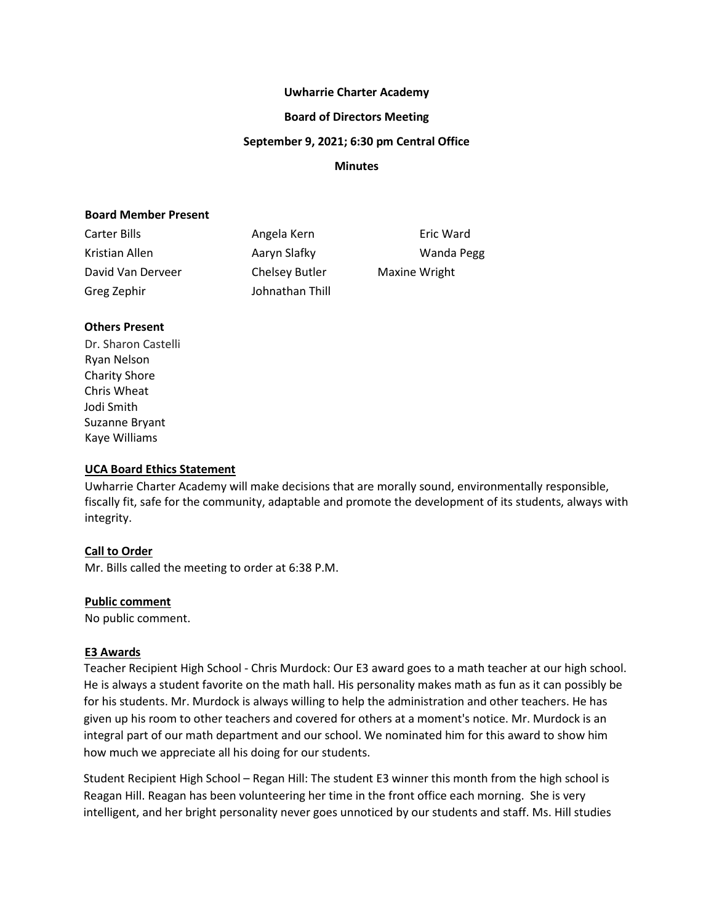#### **Uwharrie Charter Academy**

#### **Board of Directors Meeting**

#### **September 9, 2021; 6:30 pm Central Office**

#### **Minutes**

#### **Board Member Present**

| Carter Bills      | Angela Kern     | Eric Wa              |
|-------------------|-----------------|----------------------|
| Kristian Allen    | Aaryn Slafky    | Wanda                |
| David Van Derveer | Chelsey Butler  | <b>Maxine Wright</b> |
| Greg Zephir       | Johnathan Thill |                      |

Eric Ward Wanda Pegg

# **Others Present**

Dr. Sharon Castelli Ryan Nelson Charity Shore Chris Wheat Jodi Smith Suzanne Bryant Kaye Williams

# **UCA Board Ethics Statement**

Uwharrie Charter Academy will make decisions that are morally sound, environmentally responsible, fiscally fit, safe for the community, adaptable and promote the development of its students, always with integrity.

#### **Call to Order**

Mr. Bills called the meeting to order at 6:38 P.M.

#### **Public comment**

No public comment.

#### **E3 Awards**

Teacher Recipient High School - Chris Murdock: Our E3 award goes to a math teacher at our high school. He is always a student favorite on the math hall. His personality makes math as fun as it can possibly be for his students. Mr. Murdock is always willing to help the administration and other teachers. He has given up his room to other teachers and covered for others at a moment's notice. Mr. Murdock is an integral part of our math department and our school. We nominated him for this award to show him how much we appreciate all his doing for our students.

Student Recipient High School – Regan Hill: The student E3 winner this month from the high school is Reagan Hill. Reagan has been volunteering her time in the front office each morning. She is very intelligent, and her bright personality never goes unnoticed by our students and staff. Ms. Hill studies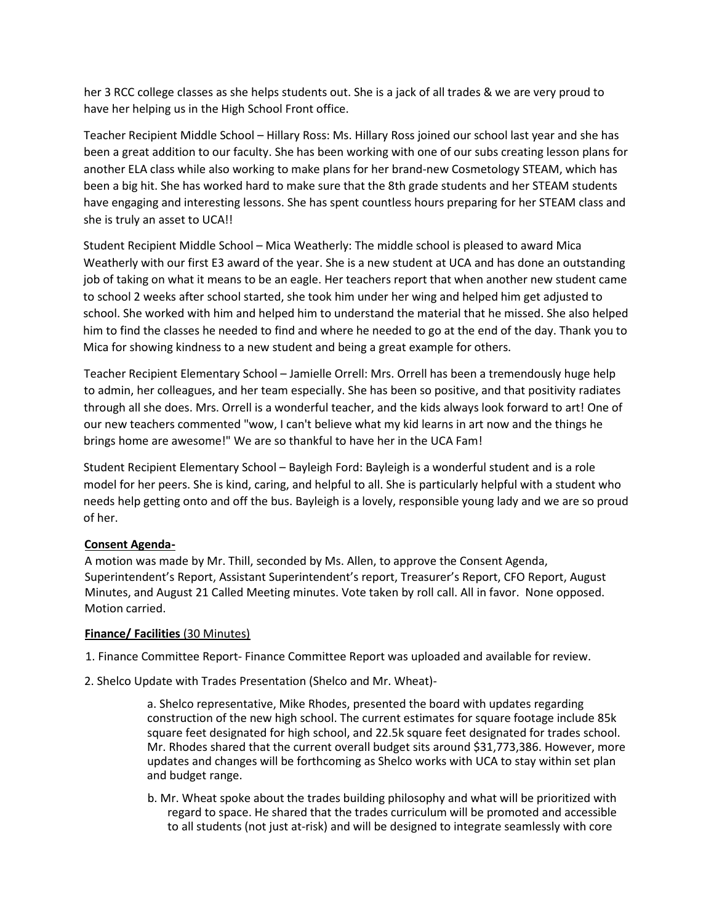her 3 RCC college classes as she helps students out. She is a jack of all trades & we are very proud to have her helping us in the High School Front office.

Teacher Recipient Middle School – Hillary Ross: Ms. Hillary Ross joined our school last year and she has been a great addition to our faculty. She has been working with one of our subs creating lesson plans for another ELA class while also working to make plans for her brand-new Cosmetology STEAM, which has been a big hit. She has worked hard to make sure that the 8th grade students and her STEAM students have engaging and interesting lessons. She has spent countless hours preparing for her STEAM class and she is truly an asset to UCA!!

Student Recipient Middle School – Mica Weatherly: The middle school is pleased to award Mica Weatherly with our first E3 award of the year. She is a new student at UCA and has done an outstanding job of taking on what it means to be an eagle. Her teachers report that when another new student came to school 2 weeks after school started, she took him under her wing and helped him get adjusted to school. She worked with him and helped him to understand the material that he missed. She also helped him to find the classes he needed to find and where he needed to go at the end of the day. Thank you to Mica for showing kindness to a new student and being a great example for others.

Teacher Recipient Elementary School – Jamielle Orrell: Mrs. Orrell has been a tremendously huge help to admin, her colleagues, and her team especially. She has been so positive, and that positivity radiates through all she does. Mrs. Orrell is a wonderful teacher, and the kids always look forward to art! One of our new teachers commented "wow, I can't believe what my kid learns in art now and the things he brings home are awesome!" We are so thankful to have her in the UCA Fam!

Student Recipient Elementary School – Bayleigh Ford: Bayleigh is a wonderful student and is a role model for her peers. She is kind, caring, and helpful to all. She is particularly helpful with a student who needs help getting onto and off the bus. Bayleigh is a lovely, responsible young lady and we are so proud of her.

# **Consent Agenda-**

A motion was made by Mr. Thill, seconded by Ms. Allen, to approve the Consent Agenda, Superintendent's Report, Assistant Superintendent's report, Treasurer's Report, CFO Report, August Minutes, and August 21 Called Meeting minutes. Vote taken by roll call. All in favor. None opposed. Motion carried.

# **Finance/ Facilities** (30 Minutes)

- 1. Finance Committee Report- Finance Committee Report was uploaded and available for review.
- 2. Shelco Update with Trades Presentation (Shelco and Mr. Wheat)-

a. Shelco representative, Mike Rhodes, presented the board with updates regarding construction of the new high school. The current estimates for square footage include 85k square feet designated for high school, and 22.5k square feet designated for trades school. Mr. Rhodes shared that the current overall budget sits around \$31,773,386. However, more updates and changes will be forthcoming as Shelco works with UCA to stay within set plan and budget range.

b. Mr. Wheat spoke about the trades building philosophy and what will be prioritized with regard to space. He shared that the trades curriculum will be promoted and accessible to all students (not just at-risk) and will be designed to integrate seamlessly with core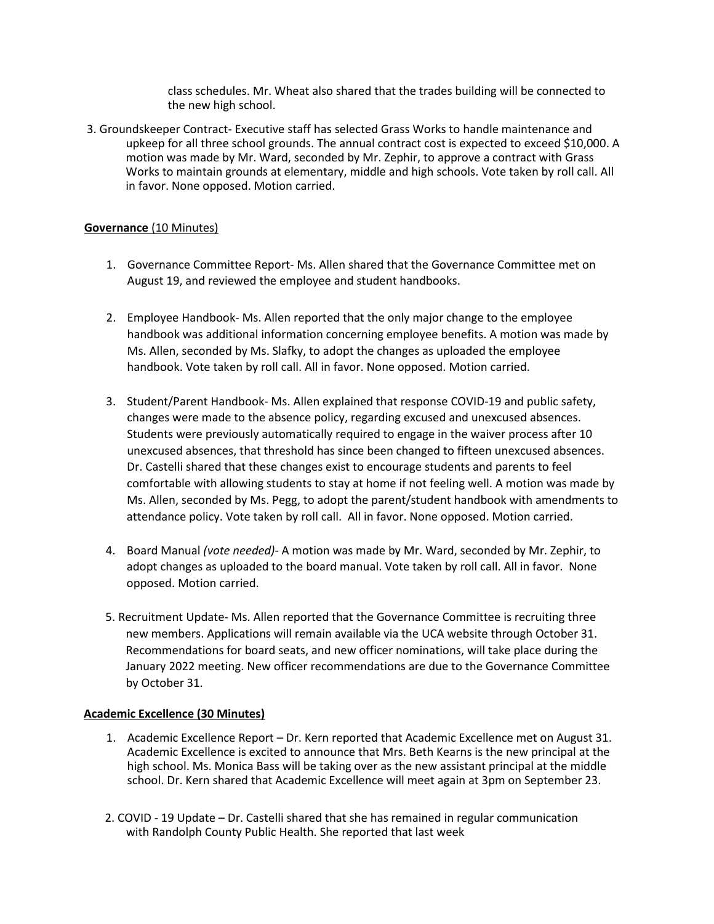class schedules. Mr. Wheat also shared that the trades building will be connected to the new high school.

3. Groundskeeper Contract- Executive staff has selected Grass Works to handle maintenance and upkeep for all three school grounds. The annual contract cost is expected to exceed \$10,000. A motion was made by Mr. Ward, seconded by Mr. Zephir, to approve a contract with Grass Works to maintain grounds at elementary, middle and high schools. Vote taken by roll call. All in favor. None opposed. Motion carried.

# **Governance** (10 Minutes)

- 1. Governance Committee Report- Ms. Allen shared that the Governance Committee met on August 19, and reviewed the employee and student handbooks.
- 2. Employee Handbook- Ms. Allen reported that the only major change to the employee handbook was additional information concerning employee benefits. A motion was made by Ms. Allen, seconded by Ms. Slafky, to adopt the changes as uploaded the employee handbook. Vote taken by roll call. All in favor. None opposed. Motion carried.
- 3. Student/Parent Handbook- Ms. Allen explained that response COVID-19 and public safety, changes were made to the absence policy, regarding excused and unexcused absences. Students were previously automatically required to engage in the waiver process after 10 unexcused absences, that threshold has since been changed to fifteen unexcused absences. Dr. Castelli shared that these changes exist to encourage students and parents to feel comfortable with allowing students to stay at home if not feeling well. A motion was made by Ms. Allen, seconded by Ms. Pegg, to adopt the parent/student handbook with amendments to attendance policy. Vote taken by roll call. All in favor. None opposed. Motion carried.
- 4. Board Manual *(vote needed)-* A motion was made by Mr. Ward, seconded by Mr. Zephir, to adopt changes as uploaded to the board manual. Vote taken by roll call. All in favor. None opposed. Motion carried.
- 5. Recruitment Update- Ms. Allen reported that the Governance Committee is recruiting three new members. Applications will remain available via the UCA website through October 31. Recommendations for board seats, and new officer nominations, will take place during the January 2022 meeting. New officer recommendations are due to the Governance Committee by October 31.

# **Academic Excellence (30 Minutes)**

- 1. Academic Excellence Report Dr. Kern reported that Academic Excellence met on August 31. Academic Excellence is excited to announce that Mrs. Beth Kearns is the new principal at the high school. Ms. Monica Bass will be taking over as the new assistant principal at the middle school. Dr. Kern shared that Academic Excellence will meet again at 3pm on September 23.
- 2. COVID 19 Update Dr. Castelli shared that she has remained in regular communication with Randolph County Public Health. She reported that last week